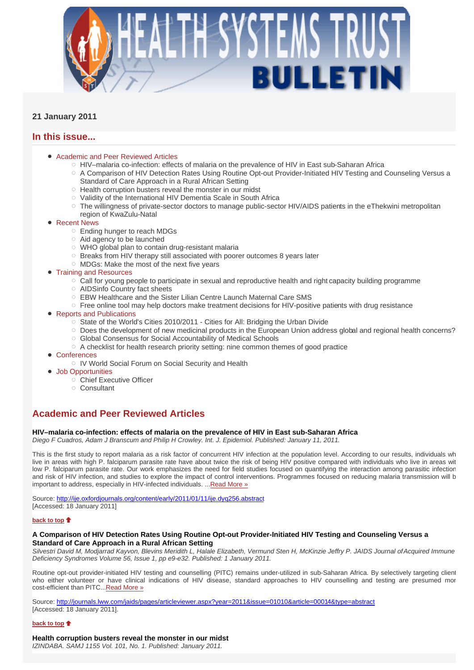

# **21 January 2011**

# **In this issue...**

## Academic and Peer Reviewed Articles

- HIV–malaria co-infection: effects of malaria on the prevalence of HIV in East sub-Saharan Africa
- A Comparison of HIV Detection Rates Using Routine Opt-out Provider-Initiated HIV Testing and Counseling Versus a Standard of Care Approach in a Rural African Setting
- $\circ$  Health corruption busters reveal the monster in our midst
- Validity of the International HIV Dementia Scale in South Africa
- $\circ$  The willingness of private-sector doctors to manage public-sector HIV/AIDS patients in the eThekwini metropolitan region of KwaZulu-Natal
- Recent News
	- Ending hunger to reach MDGs
	- $\circ$  Aid agency to be launched
	- WHO global plan to contain drug-resistant malaria
	- o Breaks from HIV therapy still associated with poorer outcomes 8 years later
	- MDGs: Make the most of the next five years
- Training and Resources
	- $\circ$  Call for young people to participate in sexual and reproductive health and right capacity building programme
	- AIDSinfo Country fact sheets
	- EBW Healthcare and the Sister Lilian Centre Launch Maternal Care SMS
	- $\circ$  Free online tool may help doctors make treatment decisions for HIV-positive patients with drug resistance
- Reports and Publications
	- State of the World's Cities 2010/2011 Cities for All: Bridging the Urban Divide
	- Does the development of new medicinal products in the European Union address global and regional health concerns? Global Consensus for Social Accountability of Medical Schools
		-
	- $\circ$  A checklist for health research priority setting: nine common themes of good practice
- **Conferences** 
	- IV World Social Forum on Social Security and Health
- Job Opportunities
	- Chief Executive Officer
	- Consultant

# **Academic and Peer Reviewed Articles**

## **HIV–malaria co-infection: effects of malaria on the prevalence of HIV in East sub-Saharan Africa**

*Diego F Cuadros, Adam J Branscum and Philip H Crowley. Int. J. Epidemiol. Published: January 11, 2011.* 

This is the first study to report malaria as a risk factor of concurrent HIV infection at the population level. According to our results, individuals wh live in areas with high P. falciparum parasite rate have about twice the risk of being HIV positive compared with individuals who live in areas wit low P. falciparum parasite rate. Our work emphasizes the need for field studies focused on quantifying the interaction among parasitic infection and risk of HIV infection, and studies to explore the impact of control interventions. Programmes focused on reducing malaria transmission will b important to address, especially in HIV-infected individuals. ...Read More »

Source: http://ije.oxfordjournals.org/content/early/2011/01/11/ije.dyq256.abstract [Accessed: 18 January 2011]

## **back to top**

## **A Comparison of HIV Detection Rates Using Routine Opt-out Provider-Initiated HIV Testing and Counseling Versus a Standard of Care Approach in a Rural African Setting**

*Silvestri David M, Modjarrad Kayvon, Blevins Meridith L, Halale Elizabeth, Vermund Sten H, McKinzie Jeffry P. JAIDS Journal ofAcquired Immune Deficiency Syndromes Volume 56, Issue 1, pp e9-e32. Published: 1 January 2011.*

Routine opt-out provider-initiated HIV testing and counselling (PITC) remains under-utilized in sub-Saharan Africa. By selectively targeting client who either volunteer or have clinical indications of HIV disease, standard approaches to HIV counselling and testing are presumed mor cost-efficient than PITC...Read More »

Source: http://journals.lww.com/jaids/pages/articleviewer.aspx?year=2011&issue=01010&article=00014&type=abstract [Accessed: 18 January 2011].

## **back to top**

## **Health corruption busters reveal the monster in our midst**

*IZINDABA. SAMJ 1155 Vol. 101, No. 1. Published: January 2011.*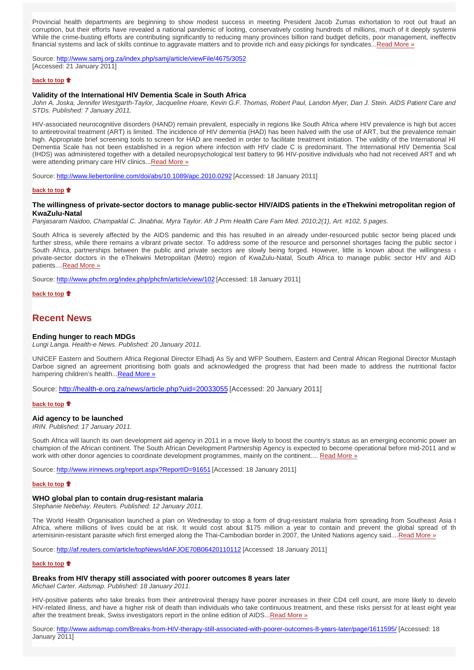Provincial health departments are beginning to show modest success in meeting President Jacob Zumas exhortation to root out fraud an corruption, but their efforts have revealed a national pandemic of looting, conservatively costing hundreds of millions, much of it deeply systemic While the crime-busting efforts are contributing significantly to reducing many provinces billion rand budget deficits, poor management, ineffectiv financial systems and lack of skills continue to aggravate matters and to provide rich and easy pickings for syndicates...Read More »

Source: http://www.samj.org.za/index.php/samj/article/viewFile/4675/3052 [Accessed: 21 January 2011]

## **back to top**

## **Validity of the International HIV Dementia Scale in South Africa**

*John A. Joska, Jennifer Westgarth-Taylor, Jacqueline Hoare, Kevin G.F. Thomas, Robert Paul, Landon Myer, Dan J. Stein. AIDS Patient Care and STDs. Published: 7 January 2011.*

HIV-associated neurocognitive disorders (HAND) remain prevalent, especially in regions like South Africa where HIV prevalence is high but acces to antiretroviral treatment (ART) is limited. The incidence of HIV dementia (HAD) has been halved with the use of ART, but the prevalence remain high. Appropriate brief screening tools to screen for HAD are needed in order to facilitate treatment initiation. The validity of the International HI Dementia Scale has not been established in a region where infection with HIV clade C is predominant. The International HIV Dementia Scal (IHDS) was administered together with a detailed neuropsychological test battery to 96 HIV-positive individuals who had not received ART and wh were attending primary care HIV clinics...Read More »

Source: http://www.liebertonline.com/doi/abs/10.1089/apc.2010.0292 [Accessed: 18 January 2011]

## **back to top**

## **The willingness of private-sector doctors to manage public-sector HIV/AIDS patients in the eThekwini metropolitan region of KwaZulu-Natal**

*Panjasaram Naidoo, Champaklal C. Jinabhai, Myra Taylor. Afr J Prm Health Care Fam Med. 2010;2(1), Art. #102, 5 pages.*

South Africa is severely affected by the AIDS pandemic and this has resulted in an already under-resourced public sector being placed unde further stress, while there remains a vibrant private sector. To address some of the resource and personnel shortages facing the public sector i South Africa, partnerships between the public and private sectors are slowly being forged. However, little is known about the willingness of private-sector doctors in the eThekwini Metropolitan (Metro) region of KwaZulu-Natal, South Africa to manage public sector HIV and AID patients.... Read More »

Source: http://www.phcfm.org/index.php/phcfm/article/view/102 [Accessed: 18 January 2011]

## **back to top**

## **Recent News**

### **Ending hunger to reach MDGs**

*Lungi Langa. Health-e News. Published: 20 January 2011.*

UNICEF Eastern and Southern Africa Regional Director Elhadj As Sy and WFP Southern, Eastern and Central African Regional Director Mustaph Darboe signed an agreement prioritising both goals and acknowledged the progress that had been made to address the nutritional factor hampering children's health...Read More »

Source: http://health-e.org.za/news/article.php?uid=20033055 [Accessed: 20 January 2011]

#### **back to top**

## **Aid agency to be launched**

*IRIN. Published: 17 January 2011.*

South Africa will launch its own development aid agency in 2011 in a move likely to boost the country's status as an emerging economic power an champion of the African continent. The South African Development Partnership Agency is expected to become operational before mid-2011 and w work with other donor agencies to coordinate development programmes, mainly on the continent.... Read More »

Source: http://www.irinnews.org/report.aspx?ReportID=91651 [Accessed: 18 January 2011]

## **back to top**

## **WHO global plan to contain drug-resistant malaria**

*Stephanie Nebehay. Reuters. Published: 12 January 2011.*

The World Health Organisation launched a plan on Wednesday to stop a form of drug-resistant malaria from spreading from Southeast Asia t Africa, where millions of lives could be at risk. It would cost about \$175 million a year to contain and prevent the global spread of th artemisinin-resistant parasite which first emerged along the Thai-Cambodian border in 2007, the United Nations agency said....Read More »

Source: http://af.reuters.com/article/topNews/idAFJOE70B06420110112 [Accessed: 18 January 2011]

#### **back to top**

### **Breaks from HIV therapy still associated with poorer outcomes 8 years later**

*Michael Carter. Aidsmap. Published: 18 January 2011.*

HIV-positive patients who take breaks from their antiretroviral therapy have poorer increases in their CD4 cell count, are more likely to develo HIV-related illness, and have a higher risk of death than individuals who take continuous treatment, and these risks persist for at least eight year after the treatment break, Swiss investigators report in the online edition of AIDS...Read More »

Source: http://www.aidsmap.com/Breaks-from-HIV-therapy-still-associated-with-poorer-outcomes-8-years-later/page/1611595/ [Accessed: 18 January 2011]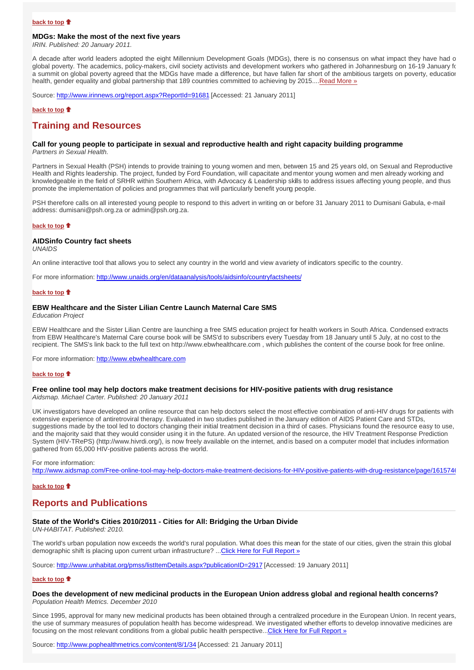#### **MDGs: Make the most of the next five years**

*IRIN. Published: 20 January 2011.*

A decade after world leaders adopted the eight Millennium Development Goals (MDGs), there is no consensus on what impact they have had o global poverty. The academics, policy-makers, civil society activists and development workers who gathered in Johannesburg on 16-19 January for a summit on global poverty agreed that the MDGs have made a difference, but have fallen far short of the ambitious targets on poverty, education health, gender equality and global partnership that 189 countries committed to achieving by 2015....Read More »

Source: http://www.irinnews.org/report.aspx?ReportId=91681 [Accessed: 21 January 2011]

## **back to top**

## **Training and Resources**

#### **Call for young people to participate in sexual and reproductive health and right capacity building programme** *Partners in Sexual Health.*

Partners in Sexual Health (PSH) intends to provide training to young women and men, between 15 and 25 years old, on Sexual and Reproductive Health and Rights leadership. The project, funded by Ford Foundation, will capacitate and mentor young women and men already working and knowledgeable in the field of SRHR within Southern Africa, with Advocacy & Leadership skills to address issues affecting young people, and thus promote the implementation of policies and programmes that will particularly benefit young people.

PSH therefore calls on all interested young people to respond to this advert in writing on or before 31 January 2011 to Dumisani Gabula, e-mail address: dumisani@psh.org.za or admin@psh.org.za.

## **back to top**

## **AIDSinfo Country fact sheets**

*UNAIDS*

An online interactive tool that allows you to select any country in the world and view a variety of indicators specific to the country.

For more information: http://www.unaids.org/en/dataanalysis/tools/aidsinfo/countryfactsheets/

## **back to top**

## **EBW Healthcare and the Sister Lilian Centre Launch Maternal Care SMS**

*Education Project*

EBW Healthcare and the Sister Lilian Centre are launching a free SMS education project for health workers in South Africa. Condensed extracts from EBW Healthcare's Maternal Care course book will be SMS'd to subscribers every Tuesday from 18 January until 5 July, at no cost to the recipient. The SMS's link back to the full text on http://www.ebwhealthcare.com , which publishes the content of the course book for free online.

For more information: http://www.ebwhealthcare.com

#### **back to top**

# **Free online tool may help doctors make treatment decisions for HIV-positive patients with drug resistance**

*Aidsmap. Michael Carter. Published: 20 January 2011*

UK investigators have developed an online resource that can help doctors select the most effective combination of anti-HIV drugs for patients with extensive experience of antiretroviral therapy. Evaluated in two studies published in the January edition of AIDS Patient Care and STDs, suggestions made by the tool led to doctors changing their initial treatment decision in a third of cases. Physicians found the resource easy to use, and the majority said that they would consider using it in the future. An updated version of the resource, the HIV Treatment Response Prediction System (HIV-TRePS) (http://www.hivrdi.org/), is now freely available on the internet, and is based on a computer model that includes information gathered from 65,000 HIV-positive patients across the world.

For more information:

http://www.aidsmap.com/Free-online-tool-may-help-doctors-make-treatment-decisions-for-HIV-positive-patients-with-drug-resistance/page/1615746

#### **back to top**

## **Reports and Publications**

## **State of the World's Cities 2010/2011 - Cities for All: Bridging the Urban Divide**

*UN-HABITAT. Published: 2010.*

The world's urban population now exceeds the world's rural population. What does this mean for the state of our cities, given the strain this global demographic shift is placing upon current urban infrastructure? ...Click Here for Full Report »

Source: http://www.unhabitat.org/pmss/listItemDetails.aspx?publicationID=2917 [Accessed: 19 January 2011]

#### **back to top**

### **Does the development of new medicinal products in the European Union address global and regional health concerns?** *Population Health Metrics. December 2010*

Since 1995, approval for many new medicinal products has been obtained through a centralized procedure in the European Union. In recent years, the use of summary measures of population health has become widespread. We investigated whether efforts to develop innovative medicines are focusing on the most relevant conditions from a global public health perspective...Click Here for Full Report »

Source: http://www.pophealthmetrics.com/content/8/1/34 [Accessed: 21 January 2011]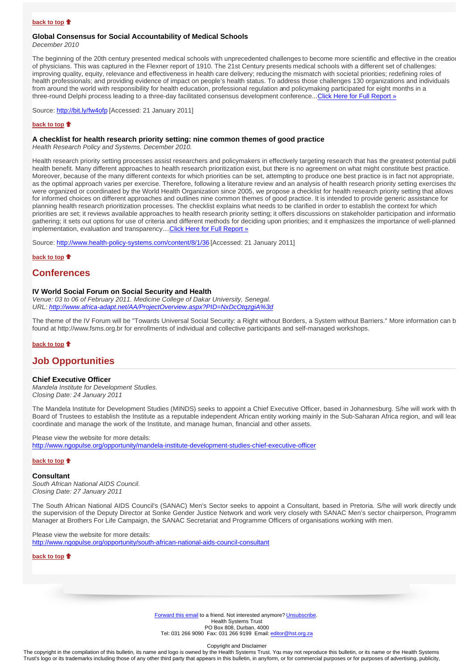## **Global Consensus for Social Accountability of Medical Schools**

*December 2010*

The beginning of the 20th century presented medical schools with unprecedented challenges to become more scientific and effective in the creation of physicians. This was captured in the Flexner report of 1910. The 21st Century presents medical schools with a different set of challenges: improving quality, equity, relevance and effectiveness in health care delivery; reducing the mismatch with societal priorities; redefining roles of health professionals; and providing evidence of impact on people's health status. To address those challenges 130 organizations and individuals from around the world with responsibility for health education, professional regulation and policymaking participated for eight months in a three-round Delphi process leading to a three-day facilitated consensus development conference...Click Here for Full Report »

Source: http://bit.ly/fw4ofp [Accessed: 21 January 2011]

#### **back to top**

#### **A checklist for health research priority setting: nine common themes of good practice**

*Health Research Policy and Systems. December 2010.*

Health research priority setting processes assist researchers and policymakers in effectively targeting research that has the greatest potential publi health benefit. Many different approaches to health research prioritization exist, but there is no agreement on what might constitute best practice. Moreover, because of the many different contexts for which priorities can be set, attempting to produce one best practice is in fact not appropriate, as the optimal approach varies per exercise. Therefore, following a literature review and an analysis of health research priority setting exercises tha were organized or coordinated by the World Health Organization since 2005, we propose a checklist for health research priority setting that allows for informed choices on different approaches and outlines nine common themes of good practice. It is intended to provide generic assistance for planning health research prioritization processes. The checklist explains what needs to be clarified in order to establish the context for which priorities are set; it reviews available approaches to health research priority setting; it offers discussions on stakeholder participation and informatio gathering; it sets out options for use of criteria and different methods for deciding upon priorities; and it emphasizes the importance of well-planned implementation, evaluation and transparency.... Click Here for Full Report »

Source: http://www.health-policy-systems.com/content/8/1/36 [Accessed: 21 January 2011]

**back to top**

## **Conferences**

#### **IV World Social Forum on Social Security and Health**

*Venue: 03 to 06 of February 2011. Medicine College of Dakar University, Senegal. URL: http://www.africa-adapt.net/AA/ProjectOverview.aspx?PID=NxDcOtqzgiA%3d*

The theme of the IV Forum will be "Towards Universal Social Security: a Right without Borders, a System without Barriers." More information can b found at http://www.fsms.org.br for enrollments of individual and collective participants and self-managed workshops.

## **back to top**

## **Job Opportunities**

#### **Chief Executive Officer**

*Mandela Institute for Development Studies. Closing Date: 24 January 2011*

The Mandela Institute for Development Studies (MINDS) seeks to appoint a Chief Executive Officer, based in Johannesburg. S/he will work with th Board of Trustees to establish the Institute as a reputable independent African entity working mainly in the Sub-Saharan Africa region, and will lead coordinate and manage the work of the Institute, and manage human, financial and other assets.

Please view the website for more details: http://www.ngopulse.org/opportunity/mandela-institute-development-studies-chief-executive-officer

#### **back to top**

**Consultant** *South African National AIDS Council.*

*Closing Date: 27 January 2011*

The South African National AIDS Council's (SANAC) Men's Sector seeks to appoint a Consultant, based in Pretoria. S/he will work directly unde the supervision of the Deputy Director at Sonke Gender Justice Network and work very closely with SANAC Men's sector chairperson, Programm Manager at Brothers For Life Campaign, the SANAC Secretariat and Programme Officers of organisations working with men.

Please view the website for more details: http://www.ngopulse.org/opportunity/south-african-national-aids-council-consultant

**back to top**

Forward this email to a friend. Not interested anymore? Unsubscribe. Health Systems Trust PO Box 808, Durban, 4000 Tel: 031 266 9090 Fax: 031 266 9199 Email: editor@hst.org.za

Copyright and Disclaimer

The copyright in the compilation of this bulletin, its name and logo is owned by the Health Systems Trust. You may not reproduce this bulletin, or its name or the Health Systems Trust's logo or its trademarks including those of any other third party that appears in this bulletin, in any form, or for commercial purposes or for purposes of advertising, publicity,